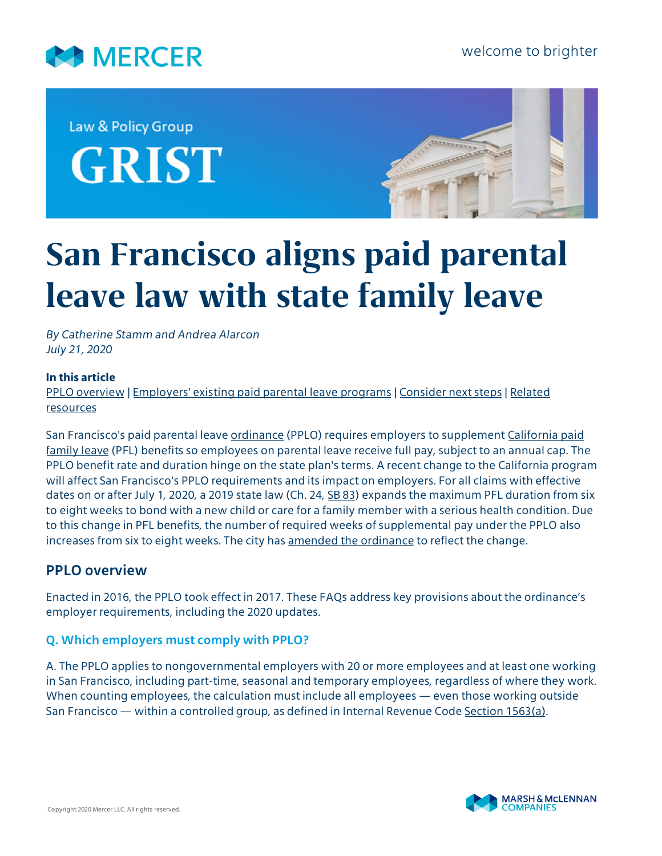

Law & Policy Group **GRIST** 



# **San Francisco aligns paid parental leave law with state family leave**

*By Catherine Stamm and Andrea Alarcon July 21, 2020*

#### **In this article**

[PPLO overview](#page-0-0) | [Employers' existing paid parental leave programs](#page-5-0) | [Consider next steps](#page-7-0) | [Related](#page-7-1) [resources](#page-7-1)

San Francisco's paid parental leave [ordinance](https://codelibrary.amlegal.com/codes/san_francisco/latest/sf_police/0-0-0-48731) (PPLO) requires employers to supplement [California paid](https://www.edd.ca.gov/disability/about_pfl.htm) [family leave](https://www.edd.ca.gov/disability/about_pfl.htm) (PFL) benefits so employees on parental leave receive full pay, subject to an annual cap. The PPLO benefit rate and duration hinge on the state plan's terms. A recent change to the California program will affect San Francisco's PPLO requirements and its impact on employers. For all claims with effective dates on or after July 1, 2020, a 2019 state law (Ch. 24, [SB 83\)](https://leginfo.legislature.ca.gov/faces/billCompareClient.xhtml?bill_id=201920200SB83&showamends=false) expands the maximum PFL duration from six to eight weeks to bond with a new child or care for a family member with a serious health condition. Due to this change in PFL benefits, the number of required weeks of supplemental pay under the PPLO also increases from six to eight weeks. The city has [amended the ordinance](https://sfgov.org/olse/sites/default/files/Paid%20Parental%20Leave%20Ordinance%20Amendment%20-%20April%202020.pdf) to reflect the change.

# <span id="page-0-0"></span>**PPLO overview**

Enacted in 2016, the PPLO took effect in 2017. These FAQs address key provisions about the ordinance's employer requirements, including the 2020 updates.

### **Q. Which employers must comply with PPLO?**

A. The PPLO applies to nongovernmental employers with 20 or more employees and at least one working in San Francisco, including part-time, seasonal and temporary employees, regardless of where they work. When counting employees, the calculation must include all employees — even those working outside San Francisco — within a controlled group, as defined in Internal Revenue Code [Section 1563\(a\).](https://uscode.house.gov/view.xhtml?req=granuleid:USC-prelim-title26-section1563&num=0&edition=prelim)

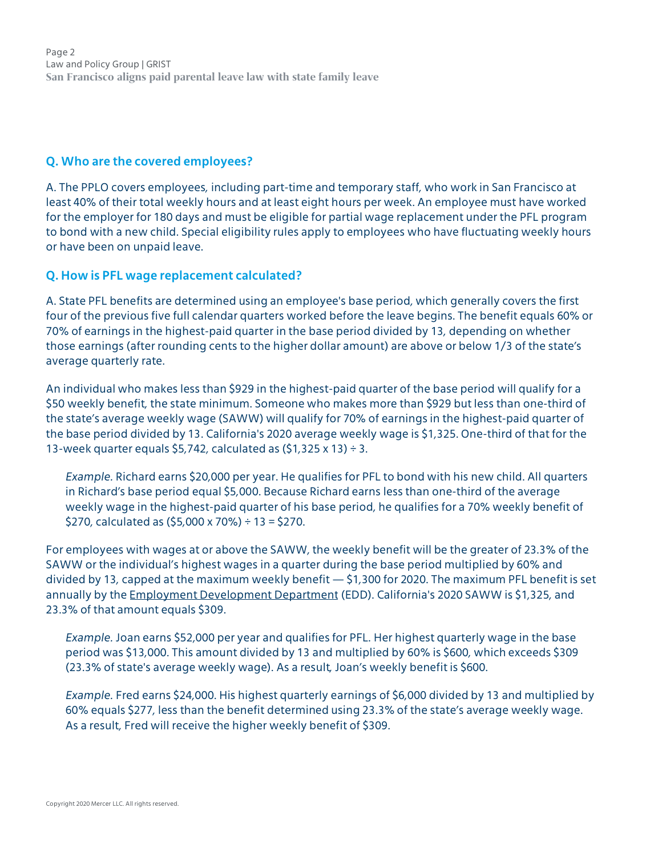Page 2 Law and Policy Group | GRIST **San Francisco aligns paid parental leave law with state family leave**

#### **Q. Who are the covered employees?**

A. The PPLO covers employees, including part-time and temporary staff, who work in San Francisco at least 40% of their total weekly hours and at least eight hours per week. An employee must have worked for the employer for 180 days and must be eligible for partial wage replacement under the PFL program to bond with a new child. Special eligibility rules apply to employees who have fluctuating weekly hours or have been on unpaid leave.

#### **Q. How is PFL wage replacement calculated?**

A. State PFL benefits are determined using an employee's base period, which generally covers the first four of the previous five full calendar quarters worked before the leave begins. The benefit equals 60% or 70% of earnings in the highest-paid quarter in the base period divided by 13, depending on whether those earnings (after rounding cents to the higher dollar amount) are above or below 1/3 of the state's average quarterly rate.

An individual who makes less than \$929 in the highest-paid quarter of the base period will qualify for a \$50 weekly benefit, the state minimum. Someone who makes more than \$929 but less than one-third of the state's average weekly wage (SAWW) will qualify for 70% of earnings in the highest-paid quarter of the base period divided by 13. California's 2020 average weekly wage is \$1,325. One-third of that for the 13-week quarter equals \$5,742, calculated as  $(51,325 \times 13) \div 3$ .

*Example.* Richard earns \$20,000 per year. He qualifies for PFL to bond with his new child. All quarters in Richard's base period equal \$5,000. Because Richard earns less than one-third of the average weekly wage in the highest-paid quarter of his base period, he qualifies for a 70% weekly benefit of \$270, calculated as  $(55,000 \times 70\%) \div 13 = $270$ .

For employees with wages at or above the SAWW, the weekly benefit will be the greater of 23.3% of the SAWW or the individual's highest wages in a quarter during the base period multiplied by 60% and divided by 13, capped at the maximum weekly benefit — \$1,300 for 2020. The maximum PFL benefit is set annually by the [Employment Development Department](https://edd.ca.gov/claims.htm) (EDD). California's 2020 SAWW is \$1,325, and 23.3% of that amount equals \$309.

*Example.* Joan earns \$52,000 per year and qualifies for PFL. Her highest quarterly wage in the base period was \$13,000. This amount divided by 13 and multiplied by 60% is \$600, which exceeds \$309 (23.3% of state's average weekly wage). As a result, Joan's weekly benefit is \$600.

*Example.* Fred earns \$24,000. His highest quarterly earnings of \$6,000 divided by 13 and multiplied by 60% equals \$277, less than the benefit determined using 23.3% of the state's average weekly wage. As a result, Fred will receive the higher weekly benefit of \$309.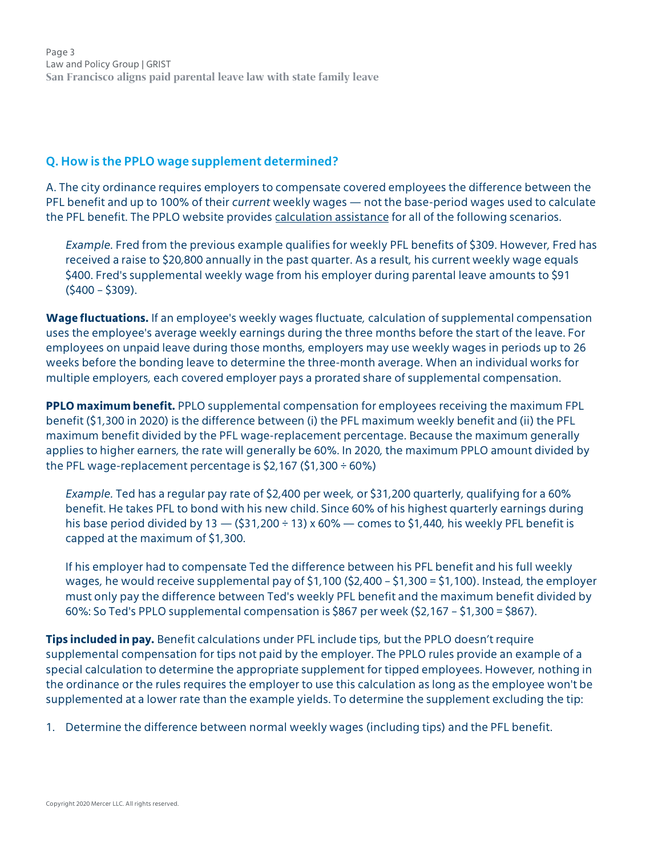Page 3 Law and Policy Group | GRIST **San Francisco aligns paid parental leave law with state family leave**

#### **Q. How is the PPLO wage supplement determined?**

A. The city ordinance requires employers to compensate covered employees the difference between the PFL benefit and up to 100% of their *current* weekly wages — not the base-period wages used to calculate the PFL benefit. The PPLO website provides [calculation assistance](https://sfgov.org/olse/paid-parental-leave-calculations) for all of the following scenarios.

*Example.* Fred from the previous example qualifies for weekly PFL benefits of \$309. However, Fred has received a raise to \$20,800 annually in the past quarter. As a result, his current weekly wage equals \$400. Fred's supplemental weekly wage from his employer during parental leave amounts to \$91  $(5400 - 5309)$ .

**Wage fluctuations.** If an employee's weekly wages fluctuate, calculation of supplemental compensation uses the employee's average weekly earnings during the three months before the start of the leave. For employees on unpaid leave during those months, employers may use weekly wages in periods up to 26 weeks before the bonding leave to determine the three-month average. When an individual works for multiple employers, each covered employer pays a prorated share of supplemental compensation.

**PPLO maximum benefit.** PPLO supplemental compensation for employees receiving the maximum FPL benefit (\$1,300 in 2020) is the difference between (i) the PFL maximum weekly benefit and (ii) the PFL maximum benefit divided by the PFL wage-replacement percentage. Because the maximum generally applies to higher earners, the rate will generally be 60%. In 2020, the maximum PPLO amount divided by the PFL wage-replacement percentage is  $$2,167$  ( $$1,300 \div 60\%$ )

*Example.* Ted has a regular pay rate of \$2,400 per week, or \$31,200 quarterly, qualifying for a 60% benefit. He takes PFL to bond with his new child. Since 60% of his highest quarterly earnings during his base period divided by  $13 - (531,200 \div 13) \times 60\%$  - comes to \$1,440, his weekly PFL benefit is capped at the maximum of \$1,300.

If his employer had to compensate Ted the difference between his PFL benefit and his full weekly wages, he would receive supplemental pay of \$1,100 (\$2,400 – \$1,300 = \$1,100). Instead, the employer must only pay the difference between Ted's weekly PFL benefit and the maximum benefit divided by 60%: So Ted's PPLO supplemental compensation is \$867 per week (\$2,167 – \$1,300 = \$867).

**Tips included in pay.** Benefit calculations under PFL include tips, but the PPLO doesn't require supplemental compensation for tips not paid by the employer. The PPLO rules provide an example of a special calculation to determine the appropriate supplement for tipped employees. However, nothing in the ordinance or the rules requires the employer to use this calculation as long as the employee won't be supplemented at a lower rate than the example yields. To determine the supplement excluding the tip:

1. Determine the difference between normal weekly wages (including tips) and the PFL benefit.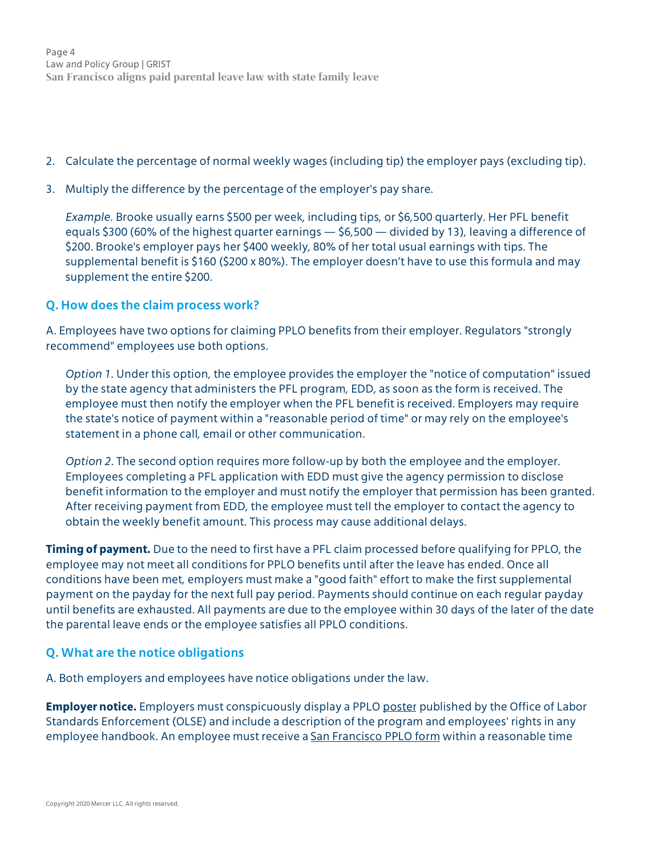- 2. Calculate the percentage of normal weekly wages (including tip) the employer pays (excluding tip).
- 3. Multiply the difference by the percentage of the employer's pay share.

*Example.* Brooke usually earns \$500 per week, including tips, or \$6,500 quarterly. Her PFL benefit equals \$300 (60% of the highest quarter earnings — \$6,500 — divided by 13), leaving a difference of \$200. Brooke's employer pays her \$400 weekly, 80% of her total usual earnings with tips. The supplemental benefit is \$160 (\$200 x 80%). The employer doesn't have to use this formula and may supplement the entire \$200.

#### **Q. How does the claim process work?**

A. Employees have two options for claiming PPLO benefits from their employer. Regulators "strongly recommend" employees use both options.

*Option 1.* Under this option, the employee provides the employer the "notice of computation" issued by the state agency that administers the PFL program, EDD, as soon as the form is received. The employee must then notify the employer when the PFL benefit is received. Employers may require the state's notice of payment within a "reasonable period of time" or may rely on the employee's statement in a phone call, email or other communication.

*Option 2*. The second option requires more follow-up by both the employee and the employer. Employees completing a PFL application with EDD must give the agency permission to disclose benefit information to the employer and must notify the employer that permission has been granted. After receiving payment from EDD, the employee must tell the employer to contact the agency to obtain the weekly benefit amount. This process may cause additional delays.

**Timing of payment.** Due to the need to first have a PFL claim processed before qualifying for PPLO, the employee may not meet all conditions for PPLO benefits until after the leave has ended. Once all conditions have been met, employers must make a "good faith" effort to make the first supplemental payment on the payday for the next full pay period. Payments should continue on each regular payday until benefits are exhausted. All payments are due to the employee within 30 days of the later of the date the parental leave ends or the employee satisfies all PPLO conditions.

### **Q. What are the notice obligations**

A. Both employers and employees have notice obligations under the law.

**Employer notice.** Employers must conspicuously display a PPLO [poster](https://sfgov.org/olse/sites/default/files/2020%20parental%20leave%20poster%20Print.pdf) published by the Office of Labor Standards Enforcement (OLSE) and include a description of the program and employees' rights in any employee handbook. An employee must receive a [San Francisco PPLO form](https://sfgov.org/olse/sites/default/files/Document/Instructions%20and%20Form%20Combined%20%208.13.18%20ENG.pdf) within a reasonable time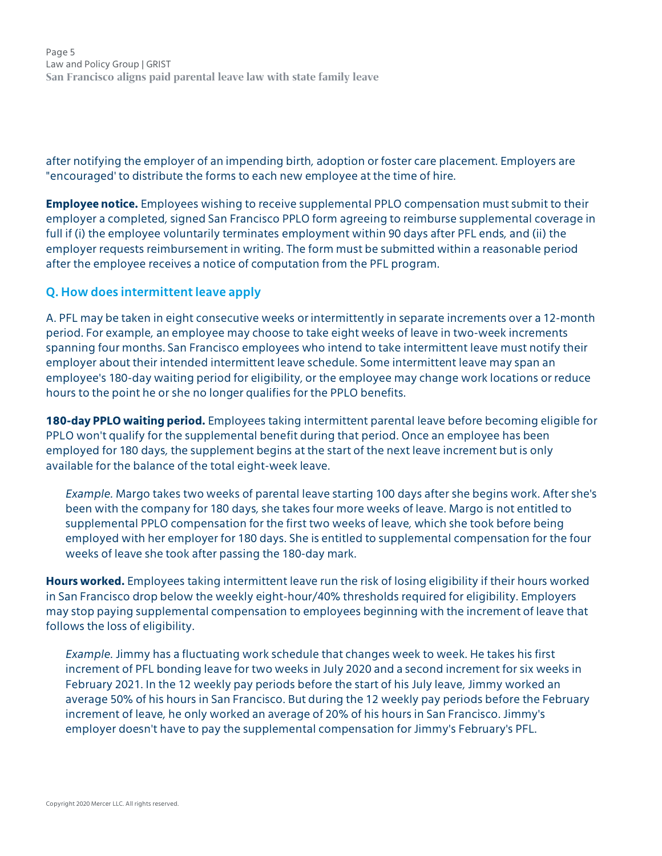Page 5 Law and Policy Group | GRIST **San Francisco aligns paid parental leave law with state family leave**

after notifying the employer of an impending birth, adoption or foster care placement. Employers are "encouraged' to distribute the forms to each new employee at the time of hire.

**Employee notice.** Employees wishing to receive supplemental PPLO compensation must submit to their employer a completed, signed San Francisco PPLO form agreeing to reimburse supplemental coverage in full if (i) the employee voluntarily terminates employment within 90 days after PFL ends, and (ii) the employer requests reimbursement in writing. The form must be submitted within a reasonable period after the employee receives a notice of computation from the PFL program.

#### **Q. How does intermittent leave apply**

A. PFL may be taken in eight consecutive weeks or intermittently in separate increments over a 12-month period. For example, an employee may choose to take eight weeks of leave in two-week increments spanning four months. San Francisco employees who intend to take intermittent leave must notify their employer about their intended intermittent leave schedule. Some intermittent leave may span an employee's 180-day waiting period for eligibility, or the employee may change work locations or reduce hours to the point he or she no longer qualifies for the PPLO benefits.

**180-day PPLO waiting period.** Employees taking intermittent parental leave before becoming eligible for PPLO won't qualify for the supplemental benefit during that period. Once an employee has been employed for 180 days, the supplement begins at the start of the next leave increment but is only available for the balance of the total eight-week leave.

*Example.* Margo takes two weeks of parental leave starting 100 days after she begins work. After she's been with the company for 180 days, she takes four more weeks of leave. Margo is not entitled to supplemental PPLO compensation for the first two weeks of leave, which she took before being employed with her employer for 180 days. She is entitled to supplemental compensation for the four weeks of leave she took after passing the 180-day mark.

**Hours worked.** Employees taking intermittent leave run the risk of losing eligibility if their hours worked in San Francisco drop below the weekly eight-hour/40% thresholds required for eligibility. Employers may stop paying supplemental compensation to employees beginning with the increment of leave that follows the loss of eligibility.

*Example.* Jimmy has a fluctuating work schedule that changes week to week. He takes his first increment of PFL bonding leave for two weeks in July 2020 and a second increment for six weeks in February 2021. In the 12 weekly pay periods before the start of his July leave, Jimmy worked an average 50% of his hours in San Francisco. But during the 12 weekly pay periods before the February increment of leave, he only worked an average of 20% of his hours in San Francisco. Jimmy's employer doesn't have to pay the supplemental compensation for Jimmy's February's PFL.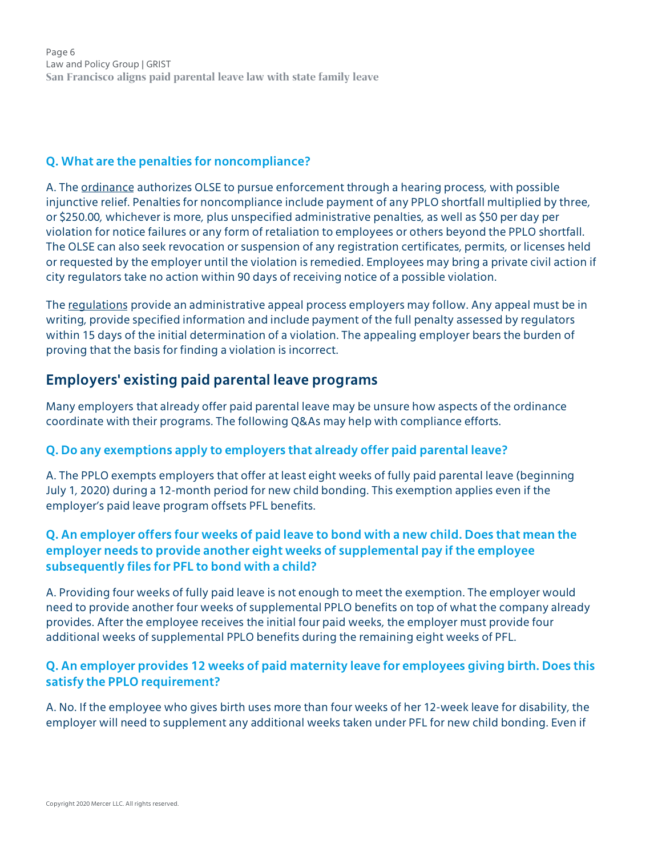Page 6 Law and Policy Group | GRIST **San Francisco aligns paid parental leave law with state family leave**

#### **Q. What are the penalties for noncompliance?**

A. The [ordinance](https://sfgov.legistar.com/View.ashx?M=F&ID=4385532&GUID=9CEF0B41-0BEC-45C7-8368-AD6822B78E3D) authorizes OLSE to pursue enforcement through a hearing process, with possible injunctive relief. Penalties for noncompliance include payment of any PPLO shortfall multiplied by three, or \$250.00, whichever is more, plus unspecified administrative penalties, as well as \$50 per day per violation for notice failures or any form of retaliation to employees or others beyond the PPLO shortfall. The OLSE can also seek revocation or suspension of any registration certificates, permits, or licenses held or requested by the employer until the violation is remedied. Employees may bring a private civil action if city regulators take no action within 90 days of receiving notice of a possible violation.

The [regulations](https://sfgov.org/olse/sites/default/files/33%20FINAL%20PPLO%20Rules%205%2018%202017_0.pdf) provide an administrative appeal process employers may follow. Any appeal must be in writing, provide specified information and include payment of the full penalty assessed by regulators within 15 days of the initial determination of a violation. The appealing employer bears the burden of proving that the basis for finding a violation is incorrect.

# <span id="page-5-0"></span>**Employers' existing paid parental leave programs**

Many employers that already offer paid parental leave may be unsure how aspects of the ordinance coordinate with their programs. The following Q&As may help with compliance efforts.

### **Q. Do any exemptions apply to employers that already offer paid parental leave?**

A. The PPLO exempts employers that offer at least eight weeks of fully paid parental leave (beginning July 1, 2020) during a 12-month period for new child bonding. This exemption applies even if the employer's paid leave program offsets PFL benefits.

## **Q. An employer offers four weeks of paid leave to bond with a new child. Does that mean the employer needs to provide another eight weeks of supplemental pay if the employee subsequently files for PFL to bond with a child?**

A. Providing four weeks of fully paid leave is not enough to meet the exemption. The employer would need to provide another four weeks of supplemental PPLO benefits on top of what the company already provides. After the employee receives the initial four paid weeks, the employer must provide four additional weeks of supplemental PPLO benefits during the remaining eight weeks of PFL.

## **Q. An employer provides 12 weeks of paid maternity leave for employees giving birth. Does this satisfy the PPLO requirement?**

A. No. If the employee who gives birth uses more than four weeks of her 12-week leave for disability, the employer will need to supplement any additional weeks taken under PFL for new child bonding. Even if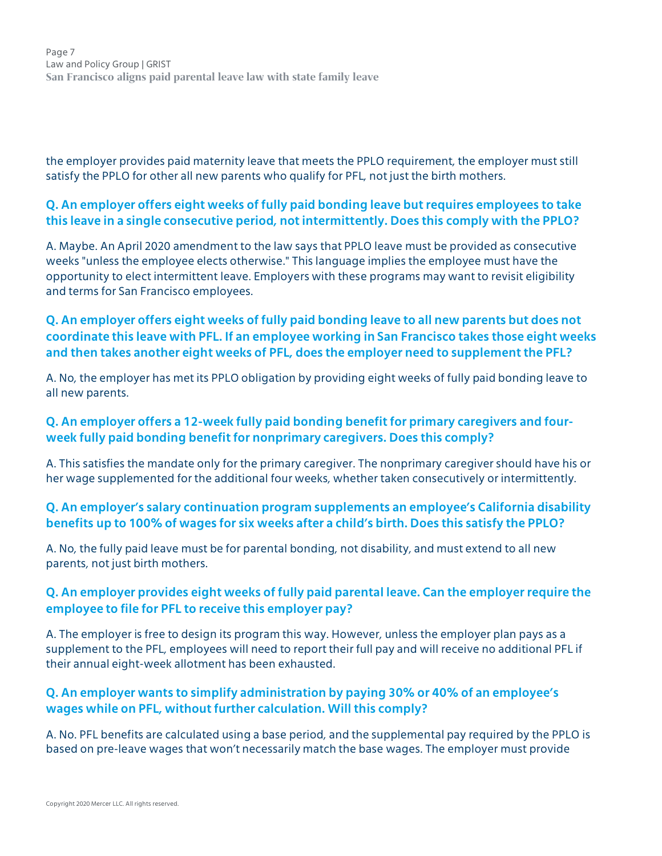the employer provides paid maternity leave that meets the PPLO requirement, the employer must still satisfy the PPLO for other all new parents who qualify for PFL, not just the birth mothers.

# **Q. An employer offers eight weeks of fully paid bonding leave but requires employees to take this leave in a single consecutive period, not intermittently. Does this comply with the PPLO?**

A. Maybe. An April 2020 amendment to the law says that PPLO leave must be provided as consecutive weeks "unless the employee elects otherwise." This language implies the employee must have the opportunity to elect intermittent leave. Employers with these programs may want to revisit eligibility and terms for San Francisco employees.

# **Q. An employer offers eight weeks of fully paid bonding leave to all new parents but does not coordinate this leave with PFL. If an employee working in San Francisco takes those eight weeks and then takes another eight weeks of PFL, does the employer need to supplement the PFL?**

A. No, the employer has met its PPLO obligation by providing eight weeks of fully paid bonding leave to all new parents.

# **Q. An employer offers a 12-week fully paid bonding benefit for primary caregivers and fourweek fully paid bonding benefit for nonprimary caregivers. Does this comply?**

A. This satisfies the mandate only for the primary caregiver. The nonprimary caregiver should have his or her wage supplemented for the additional four weeks, whether taken consecutively or intermittently.

# **Q. An employer's salary continuation program supplements an employee's California disability benefits up to 100% of wages for six weeks after a child's birth. Does this satisfy the PPLO?**

A. No, the fully paid leave must be for parental bonding, not disability, and must extend to all new parents, not just birth mothers.

# **Q. An employer provides eight weeks of fully paid parental leave. Can the employer require the employee to file for PFL to receive this employer pay?**

A. The employer is free to design its program this way. However, unless the employer plan pays as a supplement to the PFL, employees will need to report their full pay and will receive no additional PFL if their annual eight-week allotment has been exhausted.

# **Q. An employer wants to simplify administration by paying 30% or 40% of an employee's wages while on PFL, without further calculation. Will this comply?**

A. No. PFL benefits are calculated using a base period, and the supplemental pay required by the PPLO is based on pre-leave wages that won't necessarily match the base wages. The employer must provide